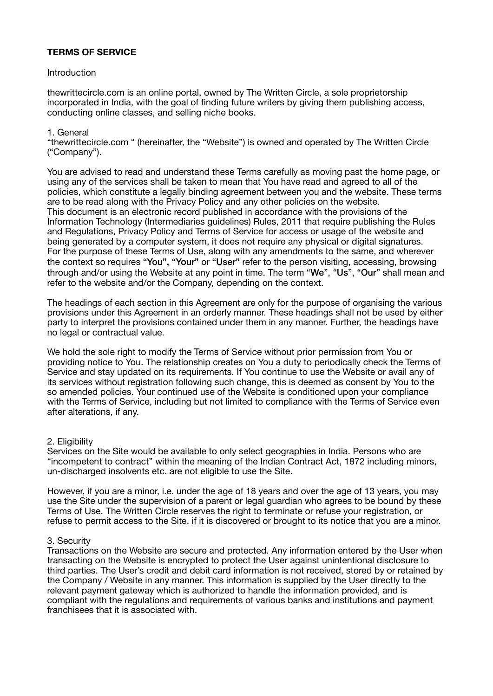# **TERMS OF SERVICE**

#### **Introduction**

thewrittecircle.com is an online portal, owned by The Written Circle, a sole proprietorship incorporated in India, with the goal of finding future writers by giving them publishing access, conducting online classes, and selling niche books.

### 1. General

"thewrittecircle.com " (hereinafter, the "Website") is owned and operated by The Written Circle ("Company").

You are advised to read and understand these Terms carefully as moving past the home page, or using any of the services shall be taken to mean that You have read and agreed to all of the policies, which constitute a legally binding agreement between you and the website. These terms are to be read along with the Privacy Policy and any other policies on the website. This document is an electronic record published in accordance with the provisions of the Information Technology (Intermediaries guidelines) Rules, 2011 that require publishing the Rules and Regulations, Privacy Policy and Terms of Service for access or usage of the website and being generated by a computer system, it does not require any physical or digital signatures. For the purpose of these Terms of Use, along with any amendments to the same, and wherever the context so requires "You", "Your" or "User" refer to the person visiting, accessing, browsing through and/or using the Website at any point in time. The term "We", "Us", "Our" shall mean and refer to the website and/or the Company, depending on the context.

The headings of each section in this Agreement are only for the purpose of organising the various provisions under this Agreement in an orderly manner. These headings shall not be used by either party to interpret the provisions contained under them in any manner. Further, the headings have no legal or contractual value.

We hold the sole right to modify the Terms of Service without prior permission from You or providing notice to You. The relationship creates on You a duty to periodically check the Terms of Service and stay updated on its requirements. If You continue to use the Website or avail any of its services without registration following such change, this is deemed as consent by You to the so amended policies. Your continued use of the Website is conditioned upon your compliance with the Terms of Service, including but not limited to compliance with the Terms of Service even after alterations, if any.

### 2. Eligibility

Services on the Site would be available to only select geographies in India. Persons who are "incompetent to contract" within the meaning of the Indian Contract Act, 1872 including minors, un-discharged insolvents etc. are not eligible to use the Site.

However, if you are a minor, i.e. under the age of 18 years and over the age of 13 years, you may use the Site under the supervision of a parent or legal guardian who agrees to be bound by these Terms of Use. The Written Circle reserves the right to terminate or refuse your registration, or refuse to permit access to the Site, if it is discovered or brought to its notice that you are a minor.

#### 3. Security

Transactions on the Website are secure and protected. Any information entered by the User when transacting on the Website is encrypted to protect the User against unintentional disclosure to third parties. The User's credit and debit card information is not received, stored by or retained by the Company / Website in any manner. This information is supplied by the User directly to the relevant payment gateway which is authorized to handle the information provided, and is compliant with the regulations and requirements of various banks and institutions and payment franchisees that it is associated with.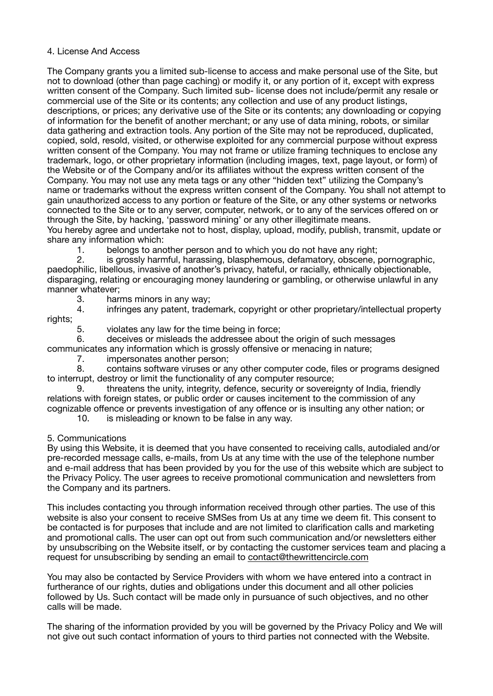### 4. License And Access

The Company grants you a limited sub-license to access and make personal use of the Site, but not to download (other than page caching) or modify it, or any portion of it, except with express written consent of the Company. Such limited sub- license does not include/permit any resale or commercial use of the Site or its contents; any collection and use of any product listings, descriptions, or prices; any derivative use of the Site or its contents; any downloading or copying of information for the benefit of another merchant; or any use of data mining, robots, or similar data gathering and extraction tools. Any portion of the Site may not be reproduced, duplicated, copied, sold, resold, visited, or otherwise exploited for any commercial purpose without express written consent of the Company. You may not frame or utilize framing techniques to enclose any trademark, logo, or other proprietary information (including images, text, page layout, or form) of the Website or of the Company and/or its affiliates without the express written consent of the Company. You may not use any meta tags or any other "hidden text" utilizing the Company's name or trademarks without the express written consent of the Company. You shall not attempt to gain unauthorized access to any portion or feature of the Site, or any other systems or networks connected to the Site or to any server, computer, network, or to any of the services offered on or through the Site, by hacking, 'password mining' or any other illegitimate means. You hereby agree and undertake not to host, display, upload, modify, publish, transmit, update or

share any information which:

1. belongs to another person and to which you do not have any right;

2. is grossly harmful, harassing, blasphemous, defamatory, obscene, pornographic, paedophilic, libellous, invasive of another's privacy, hateful, or racially, ethnically objectionable, disparaging, relating or encouraging money laundering or gambling, or otherwise unlawful in any manner whatever;

3. harms minors in any way;

4. infringes any patent, trademark, copyright or other proprietary/intellectual property rights;

5. violates any law for the time being in force;

6. deceives or misleads the addressee about the origin of such messages

communicates any information which is grossly offensive or menacing in nature;

7. impersonates another person;

8. contains software viruses or any other computer code, files or programs designed to interrupt, destroy or limit the functionality of any computer resource;

9. threatens the unity, integrity, defence, security or sovereignty of India, friendly relations with foreign states, or public order or causes incitement to the commission of any cognizable offence or prevents investigation of any offence or is insulting any other nation; or

10. is misleading or known to be false in any way.

5. Communications

By using this Website, it is deemed that you have consented to receiving calls, autodialed and/or pre-recorded message calls, e-mails, from Us at any time with the use of the telephone number and e-mail address that has been provided by you for the use of this website which are subject to the Privacy Policy. The user agrees to receive promotional communication and newsletters from the Company and its partners.

This includes contacting you through information received through other parties. The use of this website is also your consent to receive SMSes from Us at any time we deem fit. This consent to be contacted is for purposes that include and are not limited to clarification calls and marketing and promotional calls. The user can opt out from such communication and/or newsletters either by unsubscribing on the Website itself, or by contacting the customer services team and placing a request for unsubscribing by sending an email to [contact@thewrittencircle.com](mailto:contact@thewrittencircle.com)

You may also be contacted by Service Providers with whom we have entered into a contract in furtherance of our rights, duties and obligations under this document and all other policies followed by Us. Such contact will be made only in pursuance of such objectives, and no other calls will be made.

The sharing of the information provided by you will be governed by the Privacy Policy and We will not give out such contact information of yours to third parties not connected with the Website.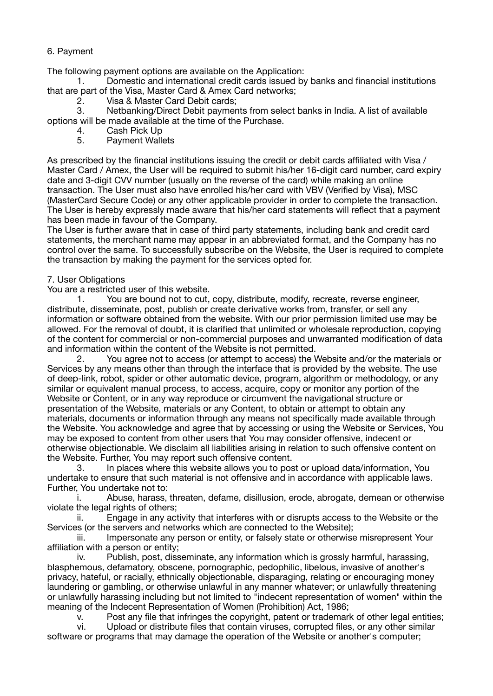# 6. Payment

The following payment options are available on the Application:

1. Domestic and international credit cards issued by banks and financial institutions that are part of the Visa, Master Card & Amex Card networks;

2. Visa & Master Card Debit cards;

3. Netbanking/Direct Debit payments from select banks in India. A list of available options will be made available at the time of the Purchase.

- 4. Cash Pick Up<br>5. Pavment Walle
- 5. Payment Wallets

As prescribed by the financial institutions issuing the credit or debit cards affiliated with Visa / Master Card / Amex, the User will be required to submit his/her 16-digit card number, card expiry date and 3-digit CVV number (usually on the reverse of the card) while making an online transaction. The User must also have enrolled his/her card with VBV (Verified by Visa), MSC (MasterCard Secure Code) or any other applicable provider in order to complete the transaction. The User is hereby expressly made aware that his/her card statements will reflect that a payment has been made in favour of the Company.

The User is further aware that in case of third party statements, including bank and credit card statements, the merchant name may appear in an abbreviated format, and the Company has no control over the same. To successfully subscribe on the Website, the User is required to complete the transaction by making the payment for the services opted for.

## 7. User Obligations

You are a restricted user of this website.

1. You are bound not to cut, copy, distribute, modify, recreate, reverse engineer, distribute, disseminate, post, publish or create derivative works from, transfer, or sell any information or software obtained from the website. With our prior permission limited use may be allowed. For the removal of doubt, it is clarified that unlimited or wholesale reproduction, copying of the content for commercial or non-commercial purposes and unwarranted modification of data and information within the content of the Website is not permitted.

2. You agree not to access (or attempt to access) the Website and/or the materials or Services by any means other than through the interface that is provided by the website. The use of deep-link, robot, spider or other automatic device, program, algorithm or methodology, or any similar or equivalent manual process, to access, acquire, copy or monitor any portion of the Website or Content, or in any way reproduce or circumvent the navigational structure or presentation of the Website, materials or any Content, to obtain or attempt to obtain any materials, documents or information through any means not specifically made available through the Website. You acknowledge and agree that by accessing or using the Website or Services, You may be exposed to content from other users that You may consider offensive, indecent or otherwise objectionable. We disclaim all liabilities arising in relation to such offensive content on the Website. Further, You may report such offensive content.

3. In places where this website allows you to post or upload data/information, You undertake to ensure that such material is not offensive and in accordance with applicable laws. Further, You undertake not to:

i. Abuse, harass, threaten, defame, disillusion, erode, abrogate, demean or otherwise violate the legal rights of others;

ii. Engage in any activity that interferes with or disrupts access to the Website or the Services (or the servers and networks which are connected to the Website);

iii. Impersonate any person or entity, or falsely state or otherwise misrepresent Your affiliation with a person or entity;

iv. Publish, post, disseminate, any information which is grossly harmful, harassing, blasphemous, defamatory, obscene, pornographic, pedophilic, libelous, invasive of another's privacy, hateful, or racially, ethnically objectionable, disparaging, relating or encouraging money laundering or gambling, or otherwise unlawful in any manner whatever; or unlawfully threatening or unlawfully harassing including but not limited to "indecent representation of women" within the meaning of the Indecent Representation of Women (Prohibition) Act, 1986;

v. Post any file that infringes the copyright, patent or trademark of other legal entities;

vi. Upload or distribute files that contain viruses, corrupted files, or any other similar software or programs that may damage the operation of the Website or another's computer;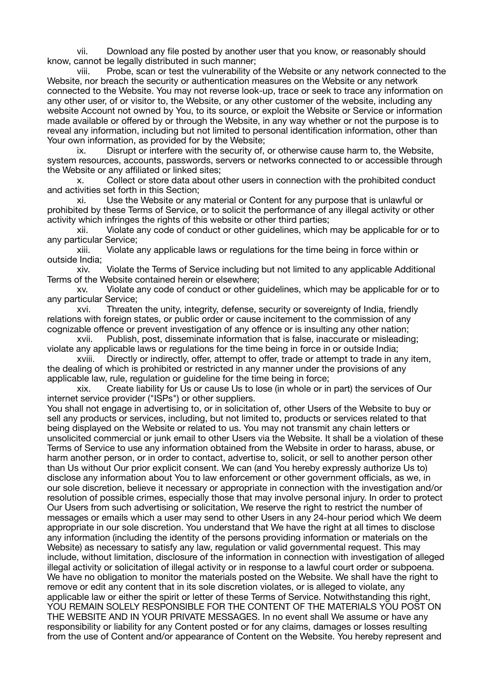vii. Download any file posted by another user that you know, or reasonably should know, cannot be legally distributed in such manner;

viii. Probe, scan or test the vulnerability of the Website or any network connected to the Website, nor breach the security or authentication measures on the Website or any network connected to the Website. You may not reverse look-up, trace or seek to trace any information on any other user, of or visitor to, the Website, or any other customer of the website, including any website Account not owned by You, to its source, or exploit the Website or Service or information made available or offered by or through the Website, in any way whether or not the purpose is to reveal any information, including but not limited to personal identification information, other than Your own information, as provided for by the Website;

ix. Disrupt or interfere with the security of, or otherwise cause harm to, the Website, system resources, accounts, passwords, servers or networks connected to or accessible through the Website or any affiliated or linked sites;

Collect or store data about other users in connection with the prohibited conduct and activities set forth in this Section;

xi. Use the Website or any material or Content for any purpose that is unlawful or prohibited by these Terms of Service, or to solicit the performance of any illegal activity or other activity which infringes the rights of this website or other third parties;

xii. Violate any code of conduct or other guidelines, which may be applicable for or to any particular Service;

xiii. Violate any applicable laws or regulations for the time being in force within or outside India;

xiv. Violate the Terms of Service including but not limited to any applicable Additional Terms of the Website contained herein or elsewhere;

xv. Violate any code of conduct or other guidelines, which may be applicable for or to any particular Service;

xvi. Threaten the unity, integrity, defense, security or sovereignty of India, friendly relations with foreign states, or public order or cause incitement to the commission of any cognizable offence or prevent investigation of any offence or is insulting any other nation;

xvii. Publish, post, disseminate information that is false, inaccurate or misleading; violate any applicable laws or regulations for the time being in force in or outside India;

xviii. Directly or indirectly, offer, attempt to offer, trade or attempt to trade in any item, the dealing of which is prohibited or restricted in any manner under the provisions of any applicable law, rule, regulation or guideline for the time being in force;

xix. Create liability for Us or cause Us to lose (in whole or in part) the services of Our internet service provider ("ISPs") or other suppliers.

You shall not engage in advertising to, or in solicitation of, other Users of the Website to buy or sell any products or services, including, but not limited to, products or services related to that being displayed on the Website or related to us. You may not transmit any chain letters or unsolicited commercial or junk email to other Users via the Website. It shall be a violation of these Terms of Service to use any information obtained from the Website in order to harass, abuse, or harm another person, or in order to contact, advertise to, solicit, or sell to another person other than Us without Our prior explicit consent. We can (and You hereby expressly authorize Us to) disclose any information about You to law enforcement or other government officials, as we, in our sole discretion, believe it necessary or appropriate in connection with the investigation and/or resolution of possible crimes, especially those that may involve personal injury. In order to protect Our Users from such advertising or solicitation, We reserve the right to restrict the number of messages or emails which a user may send to other Users in any 24-hour period which We deem appropriate in our sole discretion. You understand that We have the right at all times to disclose any information (including the identity of the persons providing information or materials on the Website) as necessary to satisfy any law, regulation or valid governmental request. This may include, without limitation, disclosure of the information in connection with investigation of alleged illegal activity or solicitation of illegal activity or in response to a lawful court order or subpoena. We have no obligation to monitor the materials posted on the Website. We shall have the right to remove or edit any content that in its sole discretion violates, or is alleged to violate, any applicable law or either the spirit or letter of these Terms of Service. Notwithstanding this right, YOU REMAIN SOLELY RESPONSIBLE FOR THE CONTENT OF THE MATERIALS YOU POST ON THE WEBSITE AND IN YOUR PRIVATE MESSAGES. In no event shall We assume or have any responsibility or liability for any Content posted or for any claims, damages or losses resulting from the use of Content and/or appearance of Content on the Website. You hereby represent and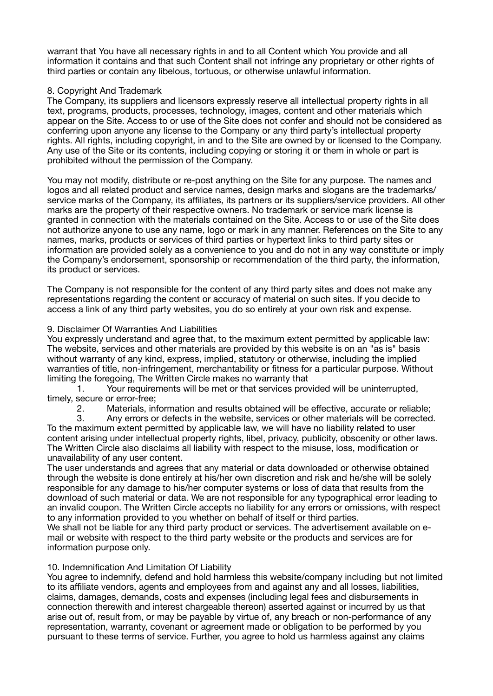warrant that You have all necessary rights in and to all Content which You provide and all information it contains and that such Content shall not infringe any proprietary or other rights of third parties or contain any libelous, tortuous, or otherwise unlawful information.

# 8. Copyright And Trademark

The Company, its suppliers and licensors expressly reserve all intellectual property rights in all text, programs, products, processes, technology, images, content and other materials which appear on the Site. Access to or use of the Site does not confer and should not be considered as conferring upon anyone any license to the Company or any third party's intellectual property rights. All rights, including copyright, in and to the Site are owned by or licensed to the Company. Any use of the Site or its contents, including copying or storing it or them in whole or part is prohibited without the permission of the Company.

You may not modify, distribute or re-post anything on the Site for any purpose. The names and logos and all related product and service names, design marks and slogans are the trademarks/ service marks of the Company, its affiliates, its partners or its suppliers/service providers. All other marks are the property of their respective owners. No trademark or service mark license is granted in connection with the materials contained on the Site. Access to or use of the Site does not authorize anyone to use any name, logo or mark in any manner. References on the Site to any names, marks, products or services of third parties or hypertext links to third party sites or information are provided solely as a convenience to you and do not in any way constitute or imply the Company's endorsement, sponsorship or recommendation of the third party, the information, its product or services.

The Company is not responsible for the content of any third party sites and does not make any representations regarding the content or accuracy of material on such sites. If you decide to access a link of any third party websites, you do so entirely at your own risk and expense.

## 9. Disclaimer Of Warranties And Liabilities

You expressly understand and agree that, to the maximum extent permitted by applicable law: The website, services and other materials are provided by this website is on an "as is" basis without warranty of any kind, express, implied, statutory or otherwise, including the implied warranties of title, non-infringement, merchantability or fitness for a particular purpose. Without limiting the foregoing, The Written Circle makes no warranty that

1. Your requirements will be met or that services provided will be uninterrupted, timely, secure or error-free;

2. Materials, information and results obtained will be effective, accurate or reliable;

3. Any errors or defects in the website, services or other materials will be corrected. To the maximum extent permitted by applicable law, we will have no liability related to user content arising under intellectual property rights, libel, privacy, publicity, obscenity or other laws. The Written Circle also disclaims all liability with respect to the misuse, loss, modification or unavailability of any user content.

The user understands and agrees that any material or data downloaded or otherwise obtained through the website is done entirely at his/her own discretion and risk and he/she will be solely responsible for any damage to his/her computer systems or loss of data that results from the download of such material or data. We are not responsible for any typographical error leading to an invalid coupon. The Written Circle accepts no liability for any errors or omissions, with respect to any information provided to you whether on behalf of itself or third parties.

We shall not be liable for any third party product or services. The advertisement available on email or website with respect to the third party website or the products and services are for information purpose only.

# 10. Indemnification And Limitation Of Liability

You agree to indemnify, defend and hold harmless this website/company including but not limited to its affiliate vendors, agents and employees from and against any and all losses, liabilities, claims, damages, demands, costs and expenses (including legal fees and disbursements in connection therewith and interest chargeable thereon) asserted against or incurred by us that arise out of, result from, or may be payable by virtue of, any breach or non-performance of any representation, warranty, covenant or agreement made or obligation to be performed by you pursuant to these terms of service. Further, you agree to hold us harmless against any claims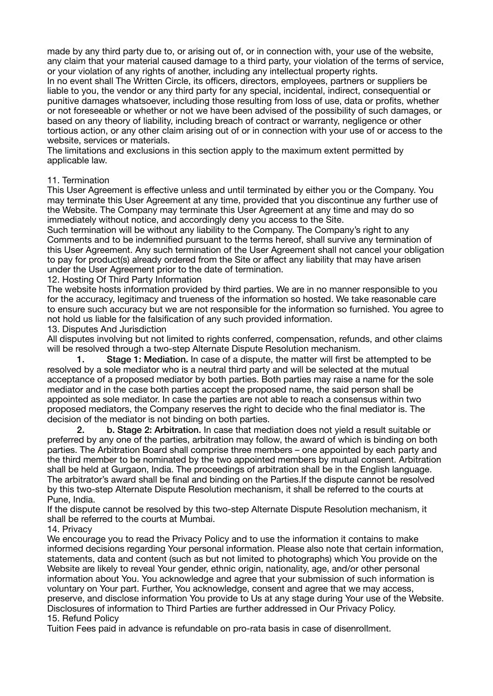made by any third party due to, or arising out of, or in connection with, your use of the website, any claim that your material caused damage to a third party, your violation of the terms of service, or your violation of any rights of another, including any intellectual property rights.

In no event shall The Written Circle, its officers, directors, employees, partners or suppliers be liable to you, the vendor or any third party for any special, incidental, indirect, consequential or punitive damages whatsoever, including those resulting from loss of use, data or profits, whether or not foreseeable or whether or not we have been advised of the possibility of such damages, or based on any theory of liability, including breach of contract or warranty, negligence or other tortious action, or any other claim arising out of or in connection with your use of or access to the website, services or materials.

The limitations and exclusions in this section apply to the maximum extent permitted by applicable law.

## 11. Termination

This User Agreement is effective unless and until terminated by either you or the Company. You may terminate this User Agreement at any time, provided that you discontinue any further use of the Website. The Company may terminate this User Agreement at any time and may do so immediately without notice, and accordingly deny you access to the Site.

Such termination will be without any liability to the Company. The Company's right to any Comments and to be indemnified pursuant to the terms hereof, shall survive any termination of this User Agreement. Any such termination of the User Agreement shall not cancel your obligation to pay for product(s) already ordered from the Site or affect any liability that may have arisen under the User Agreement prior to the date of termination.

12. Hosting Of Third Party Information

The website hosts information provided by third parties. We are in no manner responsible to you for the accuracy, legitimacy and trueness of the information so hosted. We take reasonable care to ensure such accuracy but we are not responsible for the information so furnished. You agree to not hold us liable for the falsification of any such provided information.

13. Disputes And Jurisdiction

All disputes involving but not limited to rights conferred, compensation, refunds, and other claims will be resolved through a two-step Alternate Dispute Resolution mechanism.

 1. Stage 1: Mediation. In case of a dispute, the matter will first be attempted to be resolved by a sole mediator who is a neutral third party and will be selected at the mutual acceptance of a proposed mediator by both parties. Both parties may raise a name for the sole mediator and in the case both parties accept the proposed name, the said person shall be appointed as sole mediator. In case the parties are not able to reach a consensus within two proposed mediators, the Company reserves the right to decide who the final mediator is. The decision of the mediator is not binding on both parties.

 2. b. Stage 2: Arbitration. In case that mediation does not yield a result suitable or preferred by any one of the parties, arbitration may follow, the award of which is binding on both parties. The Arbitration Board shall comprise three members – one appointed by each party and the third member to be nominated by the two appointed members by mutual consent. Arbitration shall be held at Gurgaon, India. The proceedings of arbitration shall be in the English language. The arbitrator's award shall be final and binding on the Parties.If the dispute cannot be resolved by this two-step Alternate Dispute Resolution mechanism, it shall be referred to the courts at Pune, India.

If the dispute cannot be resolved by this two-step Alternate Dispute Resolution mechanism, it shall be referred to the courts at Mumbai.

14. Privacy

We encourage you to read the Privacy Policy and to use the information it contains to make informed decisions regarding Your personal information. Please also note that certain information, statements, data and content (such as but not limited to photographs) which You provide on the Website are likely to reveal Your gender, ethnic origin, nationality, age, and/or other personal information about You. You acknowledge and agree that your submission of such information is voluntary on Your part. Further, You acknowledge, consent and agree that we may access, preserve, and disclose information You provide to Us at any stage during Your use of the Website. Disclosures of information to Third Parties are further addressed in Our Privacy Policy. 15. Refund Policy

Tuition Fees paid in advance is refundable on pro-rata basis in case of disenrollment.